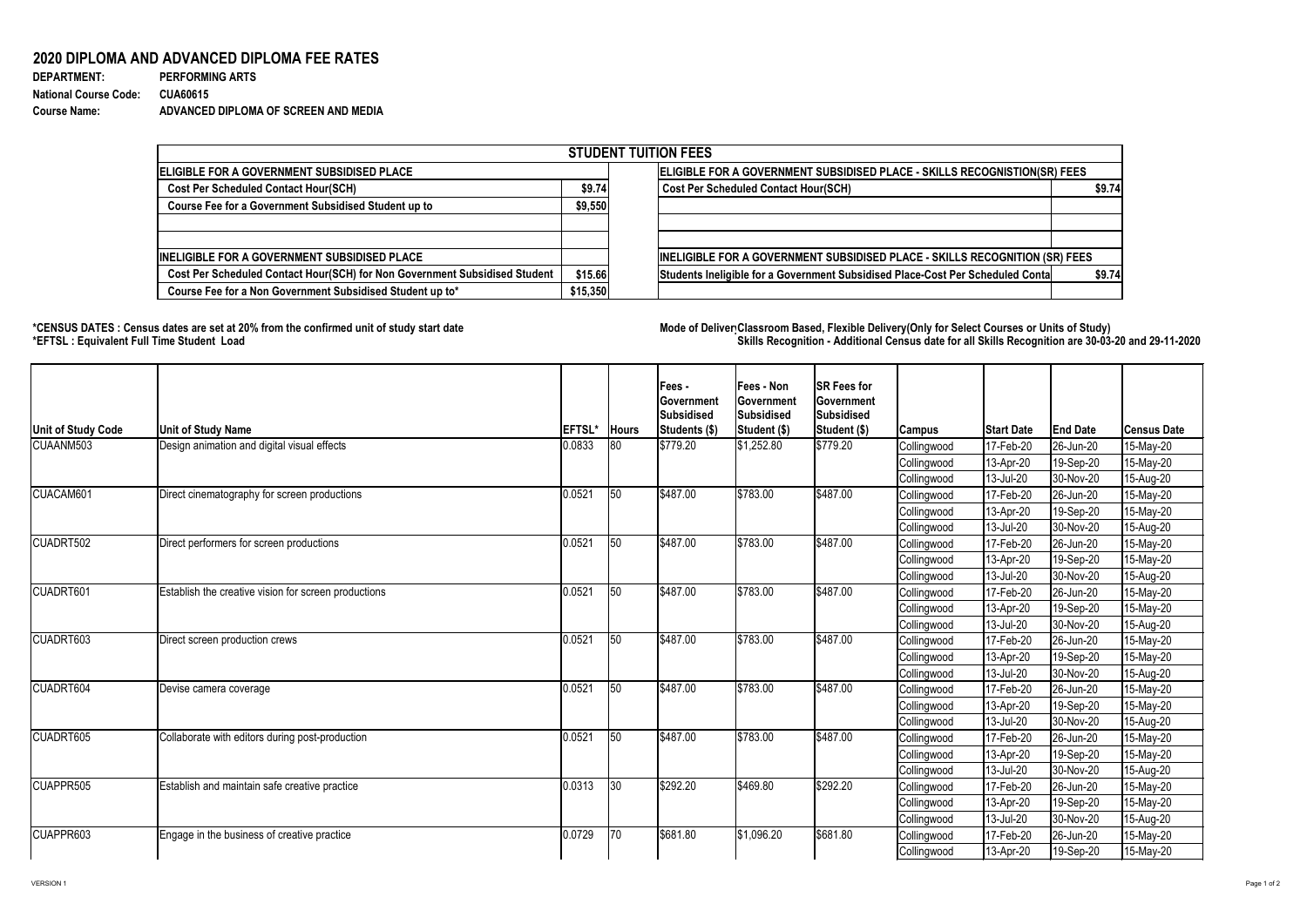## **2020 DIPLOMA AND ADVANCED DIPLOMA FEE RATES**

| <b>DEPARTMENT:</b>           | <b>PERFORMING ARTS</b>               |
|------------------------------|--------------------------------------|
| <b>National Course Code:</b> | <b>CUA60615</b>                      |
| <b>Course Name:</b>          | ADVANCED DIPLOMA OF SCREEN AND MEDIA |

## **\*CENSUS DATES : Census dates are set at 20% from the confirmed unit of study start date Mode of DeliveryClassroom Based, Flexible Delivery(Only for Select Courses or Units of Study) \*EFTSL : Equivalent Full Time Student Load Skills Recognition - Additional Census date for all Skills Recognition are 30-03-20 and 29-11-2020**



| <b>STUDENT TUITION FEES</b>                                                |                                                                           |                                                                                           |  |  |  |  |  |  |
|----------------------------------------------------------------------------|---------------------------------------------------------------------------|-------------------------------------------------------------------------------------------|--|--|--|--|--|--|
| <b>IELIGIBLE FOR A GOVERNMENT SUBSIDISED PLACE</b>                         | ELIGIBLE FOR A GOVERNMENT SUBSIDISED PLACE - SKILLS RECOGNISTION(SR) FEES |                                                                                           |  |  |  |  |  |  |
| <b>Cost Per Scheduled Contact Hour(SCH)</b>                                |                                                                           | <b>Cost Per Scheduled Contact Hour(SCH)</b><br>\$9.74                                     |  |  |  |  |  |  |
| <b>Course Fee for a Government Subsidised Student up to</b>                | \$9,550                                                                   |                                                                                           |  |  |  |  |  |  |
|                                                                            |                                                                           |                                                                                           |  |  |  |  |  |  |
| <b>INELIGIBLE FOR A GOVERNMENT SUBSIDISED PLACE</b>                        |                                                                           | INELIGIBLE FOR A GOVERNMENT SUBSIDISED PLACE - SKILLS RECOGNITION (SR) FEES               |  |  |  |  |  |  |
| Cost Per Scheduled Contact Hour(SCH) for Non Government Subsidised Student |                                                                           | Students Ineligible for a Government Subsidised Place-Cost Per Scheduled Conta<br>\$9.74] |  |  |  |  |  |  |
| Course Fee for a Non Government Subsidised Student up to*                  |                                                                           |                                                                                           |  |  |  |  |  |  |

| <b>Unit of Study Code</b> | <b>Unit of Study Name</b>                                   | <b>EFTSL'</b> | <b>Hours</b> | Fees -<br><b>Government</b><br><b>Subsidised</b><br>Students (\$) | <b>Fees - Non</b><br>Government<br>Subsidised<br>Student (\$) | <b>SR Fees for</b><br><b>Government</b><br><b>Subsidised</b><br><b>Student (\$)</b> | <b>Campus</b>      | <b>Start Date</b> | <b>End Date</b> | <b>Census Date</b> |
|---------------------------|-------------------------------------------------------------|---------------|--------------|-------------------------------------------------------------------|---------------------------------------------------------------|-------------------------------------------------------------------------------------|--------------------|-------------------|-----------------|--------------------|
| CUAANM503                 | Design animation and digital visual effects                 | 0.0833        | $ 80\rangle$ | \$779.20                                                          | \$1,252.80                                                    | \$779.20                                                                            | Collingwood        | 17-Feb-20         | 26-Jun-20       | 15-May-20          |
|                           |                                                             |               |              |                                                                   |                                                               |                                                                                     | Collingwood        | 13-Apr-20         | 19-Sep-20       | 15-May-20          |
|                           |                                                             |               |              |                                                                   |                                                               |                                                                                     | Collingwood        | $ 13 -$ Jul-20    | 30-Nov-20       | 15-Aug-20          |
| CUACAM601                 | Direct cinematography for screen productions                | 0.0521        | 50           | \$487.00                                                          | \$783.00                                                      | \$487.00                                                                            | Collingwood        | 17-Feb-20         | 26-Jun-20       | 15-May-20          |
|                           |                                                             |               |              |                                                                   |                                                               |                                                                                     | Collingwood        | 13-Apr-20         | 19-Sep-20       | 15-May-20          |
|                           |                                                             |               |              |                                                                   |                                                               |                                                                                     | <b>Collingwood</b> | 13-Jul-20         | 30-Nov-20       | 15-Aug-20          |
| CUADRT502                 | Direct performers for screen productions                    | 0.0521        | 50           | \$487.00                                                          | \$783.00                                                      | \$487.00                                                                            | Collingwood        | 17-Feb-20         | 26-Jun-20       | 15-May-20          |
|                           |                                                             |               |              |                                                                   |                                                               |                                                                                     | Collingwood        | 13-Apr-20         | 19-Sep-20       | 15-May-20          |
|                           |                                                             |               |              |                                                                   |                                                               |                                                                                     | Collingwood        | $ 13 -$ Jul-20    | 30-Nov-20       | 15-Aug-20          |
| CUADRT601                 | <b>Establish the creative vision for screen productions</b> | 0.0521        | 50           | \$487.00                                                          | \$783.00                                                      | \$487.00                                                                            | Collingwood        | 17-Feb-20         | 26-Jun-20       | 15-May-20          |
|                           |                                                             |               |              |                                                                   |                                                               |                                                                                     | Collingwood        | $13-Apr-20$       | 19-Sep-20       | 15-May-20          |
|                           |                                                             |               |              |                                                                   |                                                               |                                                                                     | Collingwood        | 13-Jul-20         | 30-Nov-20       | 15-Aug-20          |
| CUADRT603                 | Direct screen production crews                              | 0.0521        | 50           | \$487.00                                                          | \$783.00                                                      | \$487.00                                                                            | Collingwood        | 17-Feb-20         | 26-Jun-20       | 15-May-20          |
|                           |                                                             |               |              |                                                                   |                                                               |                                                                                     | Collingwood        | $ 13 - Apr - 20 $ | 19-Sep-20       | 15-May-20          |
|                           |                                                             |               |              |                                                                   |                                                               |                                                                                     | Collingwood        | 13-Jul-20         | 30-Nov-20       | 15-Aug-20          |
| <b>CUADRT604</b>          | Devise camera coverage                                      | 0.0521        | 50           | \$487.00                                                          | \$783.00                                                      | \$487.00                                                                            | Collingwood        | 17-Feb-20         | 26-Jun-20       | 15-May-20          |
|                           |                                                             |               |              |                                                                   |                                                               |                                                                                     | Collingwood        | 13-Apr-20         | 19-Sep-20       | 15-May-20          |
|                           |                                                             |               |              |                                                                   |                                                               |                                                                                     | Collingwood        | 13-Jul-20         | 30-Nov-20       | 15-Aug-20          |
| CUADRT605                 | Collaborate with editors during post-production             | 0.0521        | 50           | \$487.00                                                          | \$783.00                                                      | \$487.00                                                                            | Collingwood        | 17-Feb-20         | 26-Jun-20       | 15-May-20          |
|                           |                                                             |               |              |                                                                   |                                                               |                                                                                     | Collingwood        | 13-Apr-20         | 19-Sep-20       | 15-May-20          |
|                           |                                                             |               |              |                                                                   |                                                               |                                                                                     | Collingwood        | 13-Jul-20         | 30-Nov-20       | 15-Aug-20          |
| CUAPPR505                 | <b>Establish and maintain safe creative practice</b>        | 0.0313        | $ 30\rangle$ | \$292.20                                                          | \$469.80                                                      | \$292.20                                                                            | Collingwood        | 17-Feb-20         | 26-Jun-20       | 15-May-20          |
|                           |                                                             |               |              |                                                                   |                                                               |                                                                                     | Collingwood        | 13-Apr-20         | 19-Sep-20       | 15-May-20          |
|                           |                                                             |               |              |                                                                   |                                                               |                                                                                     | Collingwood        | 13-Jul-20         | 30-Nov-20       | 15-Aug-20          |
| CUAPPR603                 | Engage in the business of creative practice                 | 0.0729        | $ 70\rangle$ | \$681.80                                                          | \$1,096.20                                                    | \$681.80                                                                            | Collingwood        | $17$ -Feb-20      | 26-Jun-20       | 15-May-20          |
|                           |                                                             |               |              |                                                                   |                                                               |                                                                                     | Collingwood        | $ 13 - Apr - 20$  | 19-Sep-20       | 15-May-20          |